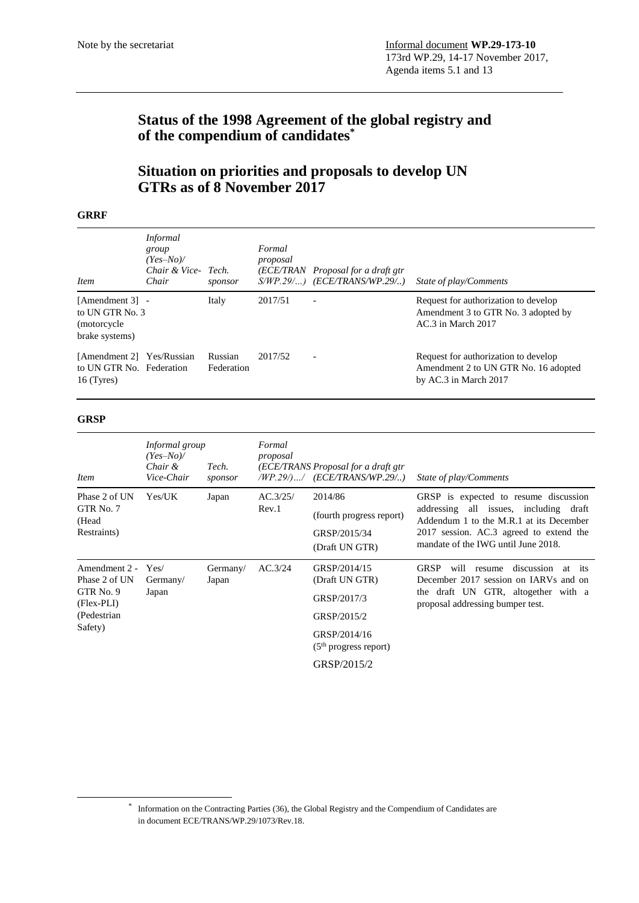# **Status of the 1998 Agreement of the global registry and of the compendium of candidates\***

## **Situation on priorities and proposals to develop UN GTRs as of 8 November 2017**

#### **GRRF**

| <b>Item</b>                                                           | <i>Informal</i><br>group<br>$(Yes-No)$<br>Chair & Vice- Tech.<br>Chair | sponsor               | Formal<br>proposal | (ECE/TRAN Proposal for a draft gtr<br>$S/WP.29/$ ) (ECE/TRANS/WP.29/) | State of play/Comments                                                                                |
|-----------------------------------------------------------------------|------------------------------------------------------------------------|-----------------------|--------------------|-----------------------------------------------------------------------|-------------------------------------------------------------------------------------------------------|
| [Amendment 3] -<br>to UN GTR No. 3<br>(motorcycle)<br>brake systems)  |                                                                        | Italy                 | 2017/51            |                                                                       | Request for authorization to develop<br>Amendment 3 to GTR No. 3 adopted by<br>AC.3 in March 2017     |
| [Amendment 2] Yes/Russian<br>to UN GTR No. Federation<br>$16$ (Tyres) |                                                                        | Russian<br>Federation | 2017/52            | $\overline{\phantom{0}}$                                              | Request for authorization to develop<br>Amendment 2 to UN GTR No. 16 adopted<br>by AC.3 in March 2017 |

### **GRSP**

-

| $(Yes-No)$<br>Chair &<br>Vice-Chair | Tech.<br>sponsor  | Formal<br>proposal |                                                                                                         | State of play/Comments                                                                                                                                                                                       |
|-------------------------------------|-------------------|--------------------|---------------------------------------------------------------------------------------------------------|--------------------------------------------------------------------------------------------------------------------------------------------------------------------------------------------------------------|
| Yes/UK                              | Japan             | AC.3/25/<br>Rev.1  | 2014/86<br>(fourth progress report)<br>GRSP/2015/34<br>(Draft UN GTR)                                   | GRSP is expected to resume discussion<br>addressing all issues, including draft<br>Addendum 1 to the M.R.1 at its December<br>2017 session. AC.3 agreed to extend the<br>mandate of the IWG until June 2018. |
| Yes/<br>Germany/<br>Japan           | Germany/<br>Japan | AC.3/24            | GRSP/2014/15<br>(Draft UN GTR)<br>GRSP/2017/3<br>GRSP/2015/2<br>GRSP/2014/16<br>$(5th$ progress report) | <b>GRSP</b><br>will<br>discussion<br>resume<br>at<br>its<br>December 2017 session on IARVs and on<br>the draft UN GTR, altogether with a<br>proposal addressing bumper test.                                 |
|                                     |                   | Informal group     |                                                                                                         | (ECE/TRANS Proposal for a draft gtr<br>$WP.29/$ / $(ECE/TRANS/WP.29/$<br>GRSP/2015/2                                                                                                                         |

<sup>\*</sup> Information on the Contracting Parties (36), the Global Registry and the Compendium of Candidates are in document ECE/TRANS/WP.29/1073/Rev.18.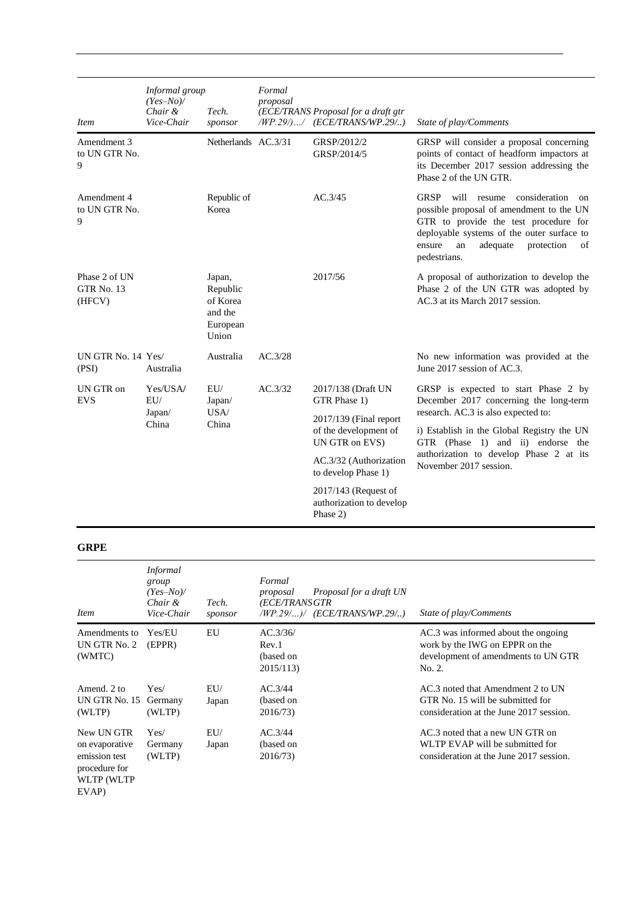| <i>Item</i>                                  | Informal group<br>$(Yes-No)$<br>Chair &<br>Vice-Chair | Tech.<br>sponsor                                               | Formal<br>proposal | (ECE/TRANS Proposal for a draft gtr<br>/WP.29/)/ (ECE/TRANS/WP.29/) | State of play/Comments                                                                                                                                                                                                                               |
|----------------------------------------------|-------------------------------------------------------|----------------------------------------------------------------|--------------------|---------------------------------------------------------------------|------------------------------------------------------------------------------------------------------------------------------------------------------------------------------------------------------------------------------------------------------|
| Amendment 3<br>to UN GTR No.<br>9            |                                                       | Netherlands AC.3/31                                            |                    | GRSP/2012/2<br>GRSP/2014/5                                          | GRSP will consider a proposal concerning<br>points of contact of headform impactors at<br>its December 2017 session addressing the<br>Phase 2 of the UN GTR.                                                                                         |
| Amendment 4<br>to UN GTR No.<br>9            |                                                       | Republic of<br>Korea                                           |                    | AC.3/45                                                             | <b>GRSP</b><br>consideration<br>will resume<br>on<br>possible proposal of amendment to the UN<br>GTR to provide the test procedure for<br>deployable systems of the outer surface to<br>ensure<br>adequate<br>protection<br>of<br>an<br>pedestrians. |
| Phase 2 of UN<br><b>GTR No. 13</b><br>(HFCV) |                                                       | Japan,<br>Republic<br>of Korea<br>and the<br>European<br>Union |                    | 2017/56                                                             | A proposal of authorization to develop the<br>Phase 2 of the UN GTR was adopted by<br>AC.3 at its March 2017 session.                                                                                                                                |
| UN GTR No. 14 Yes/<br>(PSI)                  | Australia                                             | Australia                                                      | AC.3/28            |                                                                     | No new information was provided at the<br>June 2017 session of AC.3.                                                                                                                                                                                 |
| UN GTR on<br><b>EVS</b>                      | Yes/USA/<br>EU/<br>Japan/<br>China                    | EU/<br>Japan/<br>USA/<br>China                                 | AC.3/32            | 2017/138 (Draft UN<br>GTR Phase 1)                                  | GRSP is expected to start Phase 2 by<br>December 2017 concerning the long-term                                                                                                                                                                       |
|                                              |                                                       |                                                                |                    | $2017/139$ (Final report<br>of the development of<br>UN GTR on EVS) | research. AC.3 is also expected to:<br>i) Establish in the Global Registry the UN<br>GTR (Phase 1) and ii) endorse the                                                                                                                               |
|                                              |                                                       |                                                                |                    | AC.3/32 (Authorization<br>to develop Phase 1)                       | authorization to develop Phase 2 at its<br>November 2017 session.                                                                                                                                                                                    |
|                                              |                                                       |                                                                |                    | 2017/143 (Request of<br>authorization to develop<br>Phase 2)        |                                                                                                                                                                                                                                                      |

### **GRPE**

| Item                                                                                   | <i>Informal</i><br>group<br>$(Yes-No)$<br>Chair &<br>Vice-Chair | Tech.<br>sponsor | Formal<br>Proposal for a draft UN<br>proposal<br>(ECE/TRANS GTR<br>(WP.29/ ) / (ECE/TRANS/WP.29/ ) | State of play/Comments                                                                                                 |
|----------------------------------------------------------------------------------------|-----------------------------------------------------------------|------------------|----------------------------------------------------------------------------------------------------|------------------------------------------------------------------------------------------------------------------------|
| Amendments to<br>UN GTR No. 2<br>(WMTC)                                                | Yes/EU<br>(EPPR)                                                | EU               | AC.3/36/<br>Rev.1<br>(based on<br>2015/113                                                         | AC.3 was informed about the ongoing<br>work by the IWG on EPPR on the<br>development of amendments to UN GTR<br>No. 2. |
| Amend. 2 to<br>UN GTR No. 15<br>(WLTP)                                                 | Yes/<br>Germany<br>(WLTP)                                       | EU/<br>Japan     | AC.3/44<br>(based on<br>2016/73)                                                                   | AC.3 noted that Amendment 2 to UN<br>GTR No. 15 will be submitted for<br>consideration at the June 2017 session.       |
| New UN GTR<br>on evaporative<br>emission test<br>procedure for<br>WLTP (WLTP)<br>EVAP) | Yes/<br>Germany<br>(WLTP)                                       | EU/<br>Japan     | AC.3/44<br>(based on<br>2016/73)                                                                   | AC.3 noted that a new UN GTR on<br>WLTP EVAP will be submitted for<br>consideration at the June 2017 session.          |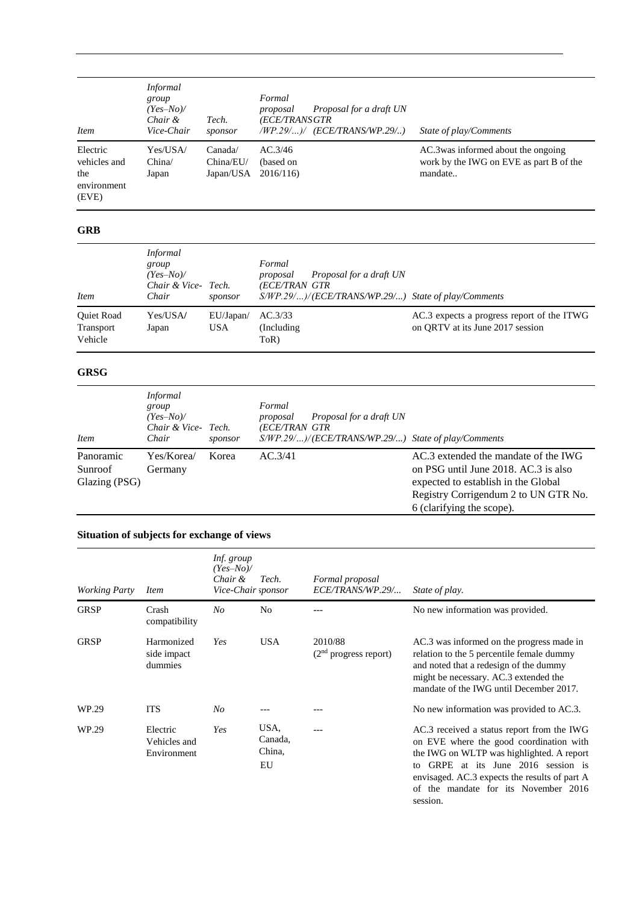| <b>Item</b>                                             | <i>Informal</i><br>group<br>$(Yes-No)$<br>Chair &<br>Vice-Chair | Tech.<br>sponsor                  | Formal<br>Proposal for a draft UN<br>proposal<br>(ECE/TRANS GTR<br>(WP.29/ ) / (ECE/TRANS/WP.29/ ) | State of play/Comments                                                                    |
|---------------------------------------------------------|-----------------------------------------------------------------|-----------------------------------|----------------------------------------------------------------------------------------------------|-------------------------------------------------------------------------------------------|
| Electric<br>vehicles and<br>the<br>environment<br>(EVE) | Yes/USA/<br>China/<br>Japan                                     | Canada/<br>China/EU/<br>Japan/USA | AC.3/46<br>(based on<br>2016/116                                                                   | AC.3 was informed about the ongoing<br>work by the IWG on EVE as part B of the<br>mandate |

### **GRB**

| <i>Item</i>                        | <i>Informal</i><br>group<br>$(Yes-No)$<br>Chair & Vice- Tech.<br>Chair | sponsor                 | Formal<br>Proposal for a draft UN<br>proposal<br>(ECE/TRAN GTR<br>$S/WP.29/$ $)/(ECE/TRANS/WP.29/$ ) State of play/Comments |                                                                                |
|------------------------------------|------------------------------------------------------------------------|-------------------------|-----------------------------------------------------------------------------------------------------------------------------|--------------------------------------------------------------------------------|
| Quiet Road<br>Transport<br>Vehicle | Yes/USA/<br>Japan                                                      | EU/Japan/<br><b>USA</b> | AC.3/33<br>(Including)<br>ToR)                                                                                              | AC.3 expects a progress report of the ITWG<br>on ORTV at its June 2017 session |

### **GRSG**

| <i>Item</i>                           | <i>Informal</i><br>group<br>$(Yes-No)$<br>Chair & Vice- Tech.<br>Chair | sponsor | Formal<br>Proposal for a draft UN<br>proposal<br>(ECE/TRAN GTR<br>S/WP.29/)/(ECE/TRANS/WP.29/) State of play/Comments |                                                                                                                                                                                          |
|---------------------------------------|------------------------------------------------------------------------|---------|-----------------------------------------------------------------------------------------------------------------------|------------------------------------------------------------------------------------------------------------------------------------------------------------------------------------------|
| Panoramic<br>Sunroof<br>Glazing (PSG) | Yes/Korea/<br>Germany                                                  | Korea   | AC.3/41                                                                                                               | AC.3 extended the mandate of the IWG<br>on PSG until June 2018. AC.3 is also<br>expected to establish in the Global<br>Registry Corrigendum 2 to UN GTR No.<br>6 (clarifying the scope). |

## **Situation of subjects for exchange of views**

| <b>Working Party</b> | <i>Item</i>                             | Inf. group<br>$(Yes-No)$<br>Chair &<br>Vice-Chair sponsor | Tech.                           | Formal proposal<br>ECE/TRANS/WP.29/ | State of play.                                                                                                                                                                                                                                                                    |
|----------------------|-----------------------------------------|-----------------------------------------------------------|---------------------------------|-------------------------------------|-----------------------------------------------------------------------------------------------------------------------------------------------------------------------------------------------------------------------------------------------------------------------------------|
| <b>GRSP</b>          | Crash<br>compatibility                  | N <sub>O</sub>                                            | N <sub>0</sub>                  |                                     | No new information was provided.                                                                                                                                                                                                                                                  |
| <b>GRSP</b>          | Harmonized<br>side impact<br>dummies    | Yes                                                       | <b>USA</b>                      | 2010/88<br>$(2nd$ progress report)  | AC.3 was informed on the progress made in<br>relation to the 5 percentile female dummy<br>and noted that a redesign of the dummy<br>might be necessary. AC.3 extended the<br>mandate of the IWG until December 2017.                                                              |
| WP.29                | <b>ITS</b>                              | N <sub>O</sub>                                            |                                 |                                     | No new information was provided to AC.3.                                                                                                                                                                                                                                          |
| WP.29                | Electric<br>Vehicles and<br>Environment | Yes                                                       | USA,<br>Canada.<br>China,<br>EU |                                     | AC.3 received a status report from the IWG<br>on EVE where the good coordination with<br>the IWG on WLTP was highlighted. A report<br>GRPE at its June 2016 session is<br>tο<br>envisaged. AC.3 expects the results of part A<br>of the mandate for its November 2016<br>session. |